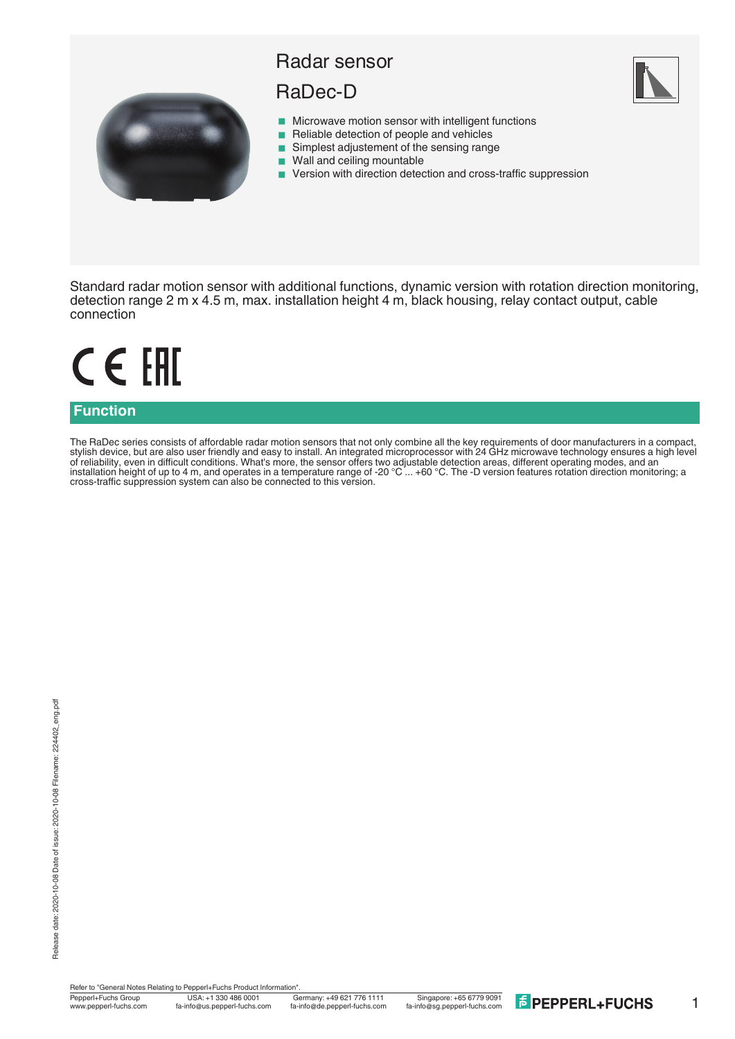

## Radar sensor

# RaDec-D



- $\blacksquare$  Microwave motion sensor with intelligent functions
- Reliable detection of people and vehicles
- Simplest adjustement of the sensing range
- Wall and ceiling mountable
- Version with direction detection and cross-traffic suppression

Standard radar motion sensor with additional functions, dynamic version with rotation direction monitoring, detection range 2 m x 4.5 m, max. installation height 4 m, black housing, relay contact output, cable connection

# CE EHI

#### **Function**

The RaDec series consists of affordable radar motion sensors that not only combine all the key requirements of door manufacturers in a compact, stylish device, but are also user friendly and easy to install. An integrated microprocessor with 24 GHz microwave technology ensures a high level of reliability, even in difficult conditions. What's more, the sensor offers two adjustable detection areas, different operating modes, and an installation height of up to 4 m, and operates in a temperature range of -20 °C ... +60 °C. The -D version features rotation direction monitoring; a cross-traffic suppression system can also be connected to this version.

1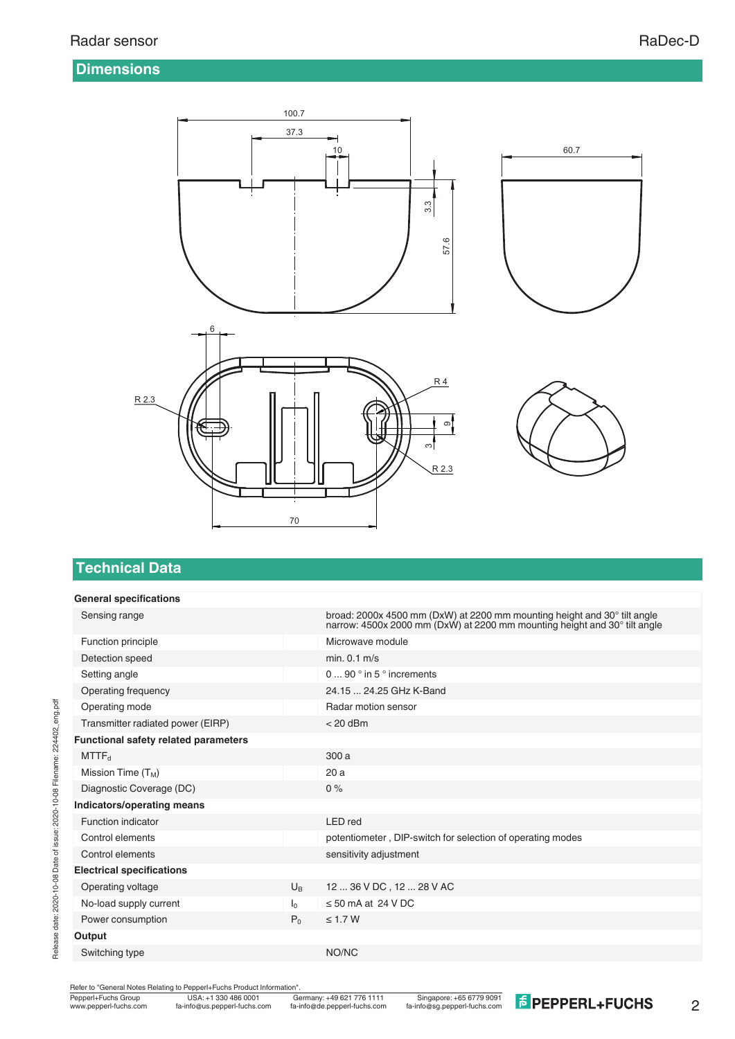#### **Dimensions**



# **Technical Data**

| <b>General specifications</b>               |                |                                                                                                                                                    |
|---------------------------------------------|----------------|----------------------------------------------------------------------------------------------------------------------------------------------------|
| Sensing range                               |                | broad: 2000x 4500 mm (DxW) at 2200 mm mounting height and 30° tilt angle narrow: 4500x 2000 mm (DxW) at 2200 mm mounting height and 30° tilt angle |
| Function principle                          |                | Microwave module                                                                                                                                   |
| Detection speed                             |                | min. 0.1 m/s                                                                                                                                       |
| Setting angle                               |                | 0  90 $^{\circ}$ in 5 $^{\circ}$ increments                                                                                                        |
| Operating frequency                         |                | 24.15  24.25 GHz K-Band                                                                                                                            |
| Operating mode                              |                | Radar motion sensor                                                                                                                                |
| Transmitter radiated power (EIRP)           |                | $< 20$ dBm                                                                                                                                         |
| <b>Functional safety related parameters</b> |                |                                                                                                                                                    |
| MTTF <sub>d</sub>                           |                | 300 a                                                                                                                                              |
| Mission Time $(T_M)$                        |                | 20a                                                                                                                                                |
| Diagnostic Coverage (DC)                    |                | 0%                                                                                                                                                 |
| Indicators/operating means                  |                |                                                                                                                                                    |
| Function indicator                          |                | LED red                                                                                                                                            |
| Control elements                            |                | potentiometer, DIP-switch for selection of operating modes                                                                                         |
| Control elements                            |                | sensitivity adjustment                                                                                                                             |
| <b>Electrical specifications</b>            |                |                                                                                                                                                    |
| Operating voltage                           | $U_{\rm B}$    | 12  36 V DC, 12  28 V AC                                                                                                                           |
| No-load supply current                      | I <sub>0</sub> | $\leq$ 50 mA at 24 V DC                                                                                                                            |
| Power consumption                           | $P_0$          | $\leq$ 1.7 W                                                                                                                                       |
| Output                                      |                |                                                                                                                                                    |
| Switching type                              |                | NO/NC                                                                                                                                              |

Release date: 2020-10-08 Date of issue: 2020-10-08 Filename: 224402\_eng.pdf

Release date: 2020-10-08 Date of issue: 2020-10-08 Filename: 224402\_eng.pdf

Refer to "General Notes Relating to Pepperl+Fuchs Product Information".<br>
Pepperl+Fuchs Group<br>
Www.pepperl-fuchs.com fa-info@us.pepperl-fuchs.com fa-

Pepperl+Fuchs Group Germany: +49 621 776 1111 www.pepperl-fuchs.com fa-info@us.pepperl-fuchs.com fa-info@de.pepperl-fuchs.com fa-info@sg.pepperl-fuchs.com---- .<br>
Germany: +49 621 776 1111 Singapore: +65 6779 9091<br>
fa-info@de.pepperl-fuchs.com fa-info@sg.pepperl-fuchs.com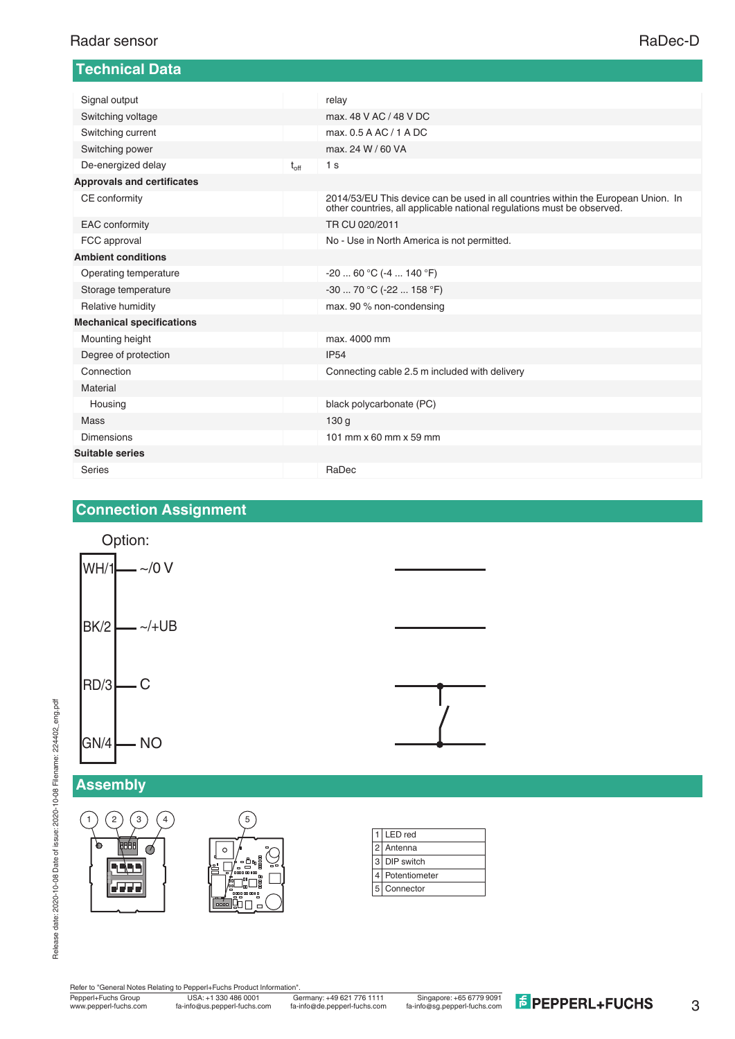| Technical Data                    |                  |                                                                                                                                                             |
|-----------------------------------|------------------|-------------------------------------------------------------------------------------------------------------------------------------------------------------|
| Signal output                     |                  | relay                                                                                                                                                       |
| Switching voltage                 |                  | max, 48 V AC / 48 V DC                                                                                                                                      |
| Switching current                 |                  | max, 0.5 A AC / 1 A DC                                                                                                                                      |
| Switching power                   |                  | max, 24 W / 60 VA                                                                                                                                           |
| De-energized delay                | $t_{\text{off}}$ | 1 <sub>s</sub>                                                                                                                                              |
| <b>Approvals and certificates</b> |                  |                                                                                                                                                             |
| CE conformity                     |                  | 2014/53/EU This device can be used in all countries within the European Union. In<br>other countries, all applicable national regulations must be observed. |
| <b>EAC</b> conformity             |                  | TR CU 020/2011                                                                                                                                              |
| FCC approval                      |                  | No - Use in North America is not permitted.                                                                                                                 |
| <b>Ambient conditions</b>         |                  |                                                                                                                                                             |
| Operating temperature             |                  | $-2060 °C (-4140 °F)$                                                                                                                                       |
| Storage temperature               |                  | $-3070$ °C ( $-22158$ °F)                                                                                                                                   |
| Relative humidity                 |                  | max. 90 % non-condensing                                                                                                                                    |
| <b>Mechanical specifications</b>  |                  |                                                                                                                                                             |
| Mounting height                   |                  | max. 4000 mm                                                                                                                                                |
| Degree of protection              |                  | <b>IP54</b>                                                                                                                                                 |
| Connection                        |                  | Connecting cable 2.5 m included with delivery                                                                                                               |
| Material                          |                  |                                                                                                                                                             |
| Housing                           |                  | black polycarbonate (PC)                                                                                                                                    |
| <b>Mass</b>                       |                  | 130 <sub>g</sub>                                                                                                                                            |
| <b>Dimensions</b>                 |                  | 101 mm x 60 mm x 59 mm                                                                                                                                      |
| <b>Suitable series</b>            |                  |                                                                                                                                                             |
| <b>Series</b>                     |                  | RaDec                                                                                                                                                       |

## **Connection Assignment**



Refer to "General Notes Relating to Pepperl+Fuchs Product Information".

Pepperl+Fuchs Group USA: +1 330 486 0001<br>www.pepperl-fuchs.com fa-info@us.pepperl-fuchs.com USA: +1 330 486 0001 Singapore: +65 6779 9091 www.pepperl-fuchs.com fa-info@us.pepperl-fuchs.com fa-info@de.pepperl-fuchs.com fa-info@sg.pepperl-fuchs.com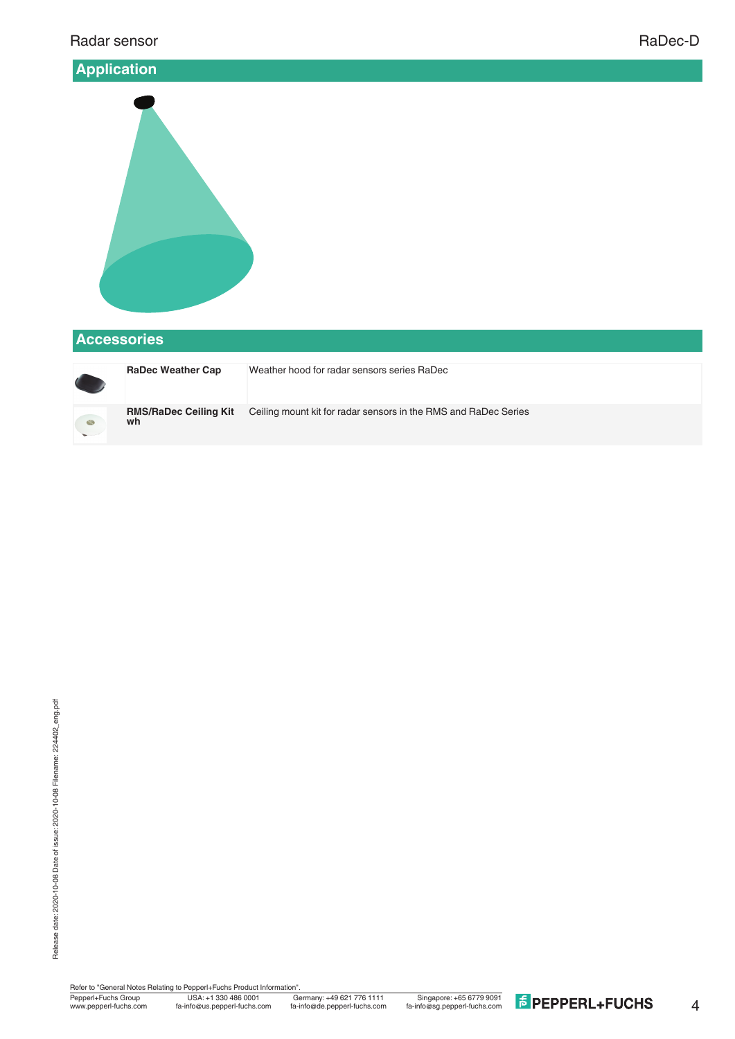

## **Accessories**



**RMS/RaDec Ceiling Kit wh**

**RaDec Weather Cap** Weather hood for radar sensors series RaDec

Ceiling mount kit for radar sensors in the RMS and RaDec Series

Refer to "General Notes Relating to Pepperl+Fuchs Product Information"<br>
Pepperl+Fuchs Group<br>
Www.pepperl-fuchs.com fa-info@us.pepperl-fuchs.com fa-

4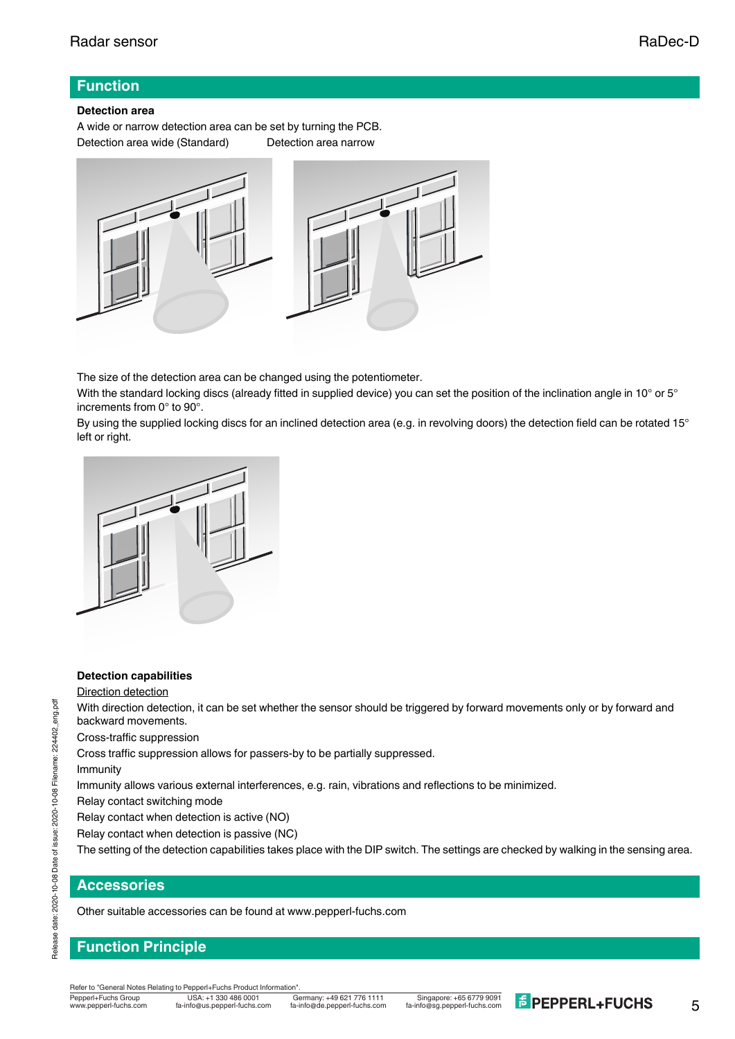# **Function**

#### **Detection area**

A wide or narrow detection area can be set by turning the PCB. Detection area wide (Standard) Detection area narrow



The size of the detection area can be changed using the potentiometer.

With the standard locking discs (already fitted in supplied device) you can set the position of the inclination angle in 10° or 5° increments from 0° to 90°.

By using the supplied locking discs for an inclined detection area (e.g. in revolving doors) the detection field can be rotated 15° left or right.



#### **Detection capabilities**

#### Direction detection

With direction detection, it can be set whether the sensor should be triggered by forward movements only or by forward and backward movements.

Cross-traffic suppression

Cross traffic suppression allows for passers-by to be partially suppressed.

Immunity

Immunity allows various external interferences, e.g. rain, vibrations and reflections to be minimized.

Relay contact switching mode

Relay contact when detection is active (NO)

Relay contact when detection is passive (NC)

The setting of the detection capabilities takes place with the DIP switch. The settings are checked by walking in the sensing area.

### **Accessories**

Other suitable accessories can be found at www.pepperl-fuchs.com

# **Function Principle**

Refer to "General Notes Relating to Pepperl+Fuchs Product Information